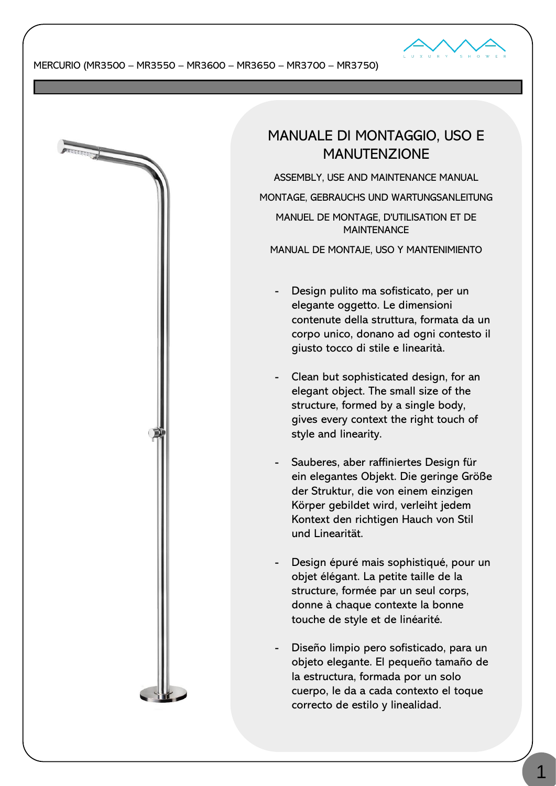

**BERTHERE** 

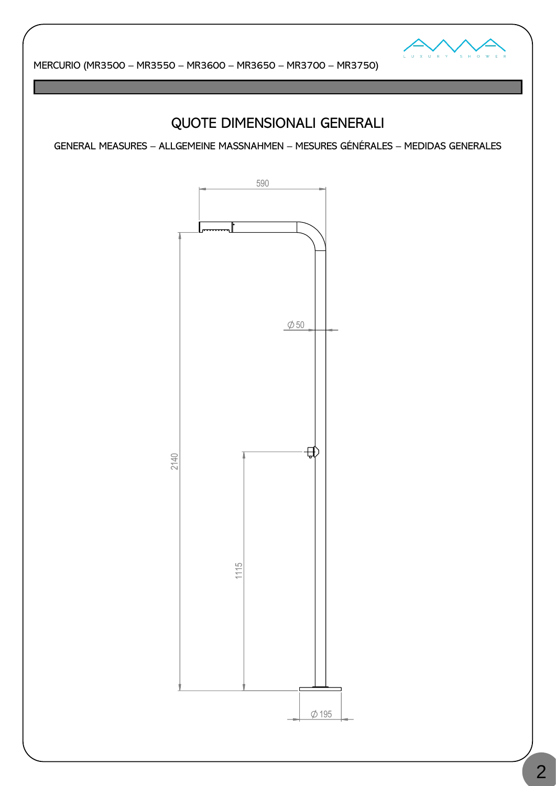

# QUOTE DIMENSIONALI GENERALI

GENERAL MEASURES – ALLGEMEINE MASSNAHMEN – MESURES GÉNÉRALES – MEDIDAS GENERALES

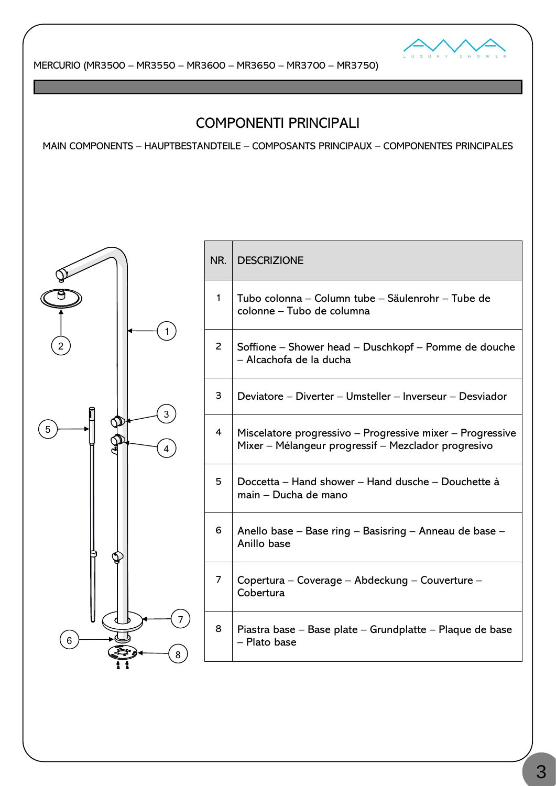

# COMPONENTI PRINCIPALI

MAIN COMPONENTS – HAUPTBESTANDTEILE – COMPOSANTS PRINCIPAUX – COMPONENTES PRINCIPALES



| NR. | <b>DESCRIZIONE</b>                                                                                               |
|-----|------------------------------------------------------------------------------------------------------------------|
| 1   | Tubo colonna – Column tube – Säulenrohr – Tube de<br>colonne – Tubo de columna                                   |
| 2   | Soffione – Shower head – Duschkopf – Pomme de douche<br>- Alcachofa de la ducha                                  |
| 3   | Deviatore – Diverter – Umsteller – Inverseur – Desviador                                                         |
| 4   | Miscelatore progressivo – Progressive mixer – Progressive<br>Mixer - Mélangeur progressif - Mezclador progresivo |
| 5   | Doccetta – Hand shower – Hand dusche – Douchette à<br>main – Ducha de mano                                       |
| 6   | Anello base - Base ring - Basisring - Anneau de base -<br>Anillo base                                            |
| 7   | Copertura – Coverage – Abdeckung – Couverture –<br>Cobertura                                                     |
| 8   | Piastra base – Base plate – Grundplatte – Plaque de base<br>- Plato base                                         |
|     |                                                                                                                  |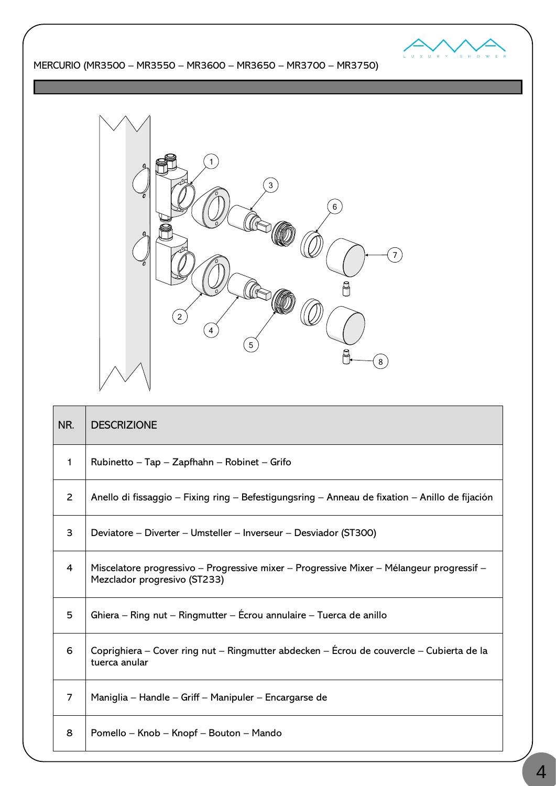



| NR.            | <b>DESCRIZIONE</b>                                                                                                       |
|----------------|--------------------------------------------------------------------------------------------------------------------------|
| $\mathbf{1}$   | Rubinetto – Tap – Zapfhahn – Robinet – Grifo                                                                             |
| $\overline{2}$ | Anello di fissaggio – Fixing ring – Befestigungsring – Anneau de fixation – Anillo de fijación                           |
| 3              | Deviatore – Diverter – Umsteller – Inverseur – Desviador (ST300)                                                         |
| 4              | Miscelatore progressivo – Progressive mixer – Progressive Mixer – Mélangeur progressif –<br>Mezclador progresivo (ST233) |
| 5              | Ghiera – Ring nut – Ringmutter – Écrou annulaire – Tuerca de anillo                                                      |
| 6              | Coprighiera – Cover ring nut – Ringmutter abdecken – Écrou de couvercle – Cubierta de la<br>tuerca anular                |
| 7              | Maniglia – Handle – Griff – Manipuler – Encargarse de                                                                    |
| 8              | Pomello – Knob – Knopf – Bouton – Mando                                                                                  |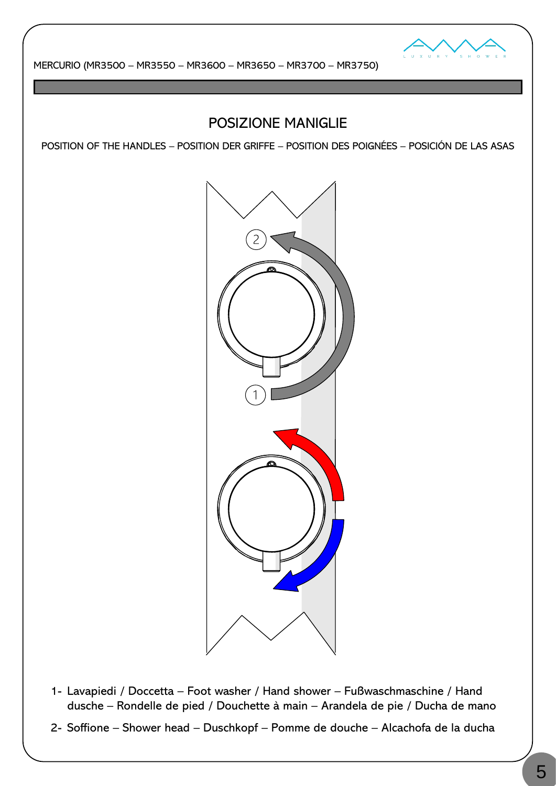

# POSIZIONE MANIGLIE

POSITION OF THE HANDLES – POSITION DER GRIFFE – POSITION DES POIGNÉES – POSICIÓN DE LAS ASAS



- 1- Lavapiedi / Doccetta Foot washer / Hand shower Fußwaschmaschine / Hand dusche – Rondelle de pied / Douchette à main – Arandela de pie / Ducha de mano
- 2- Soffione Shower head Duschkopf Pomme de douche Alcachofa de la ducha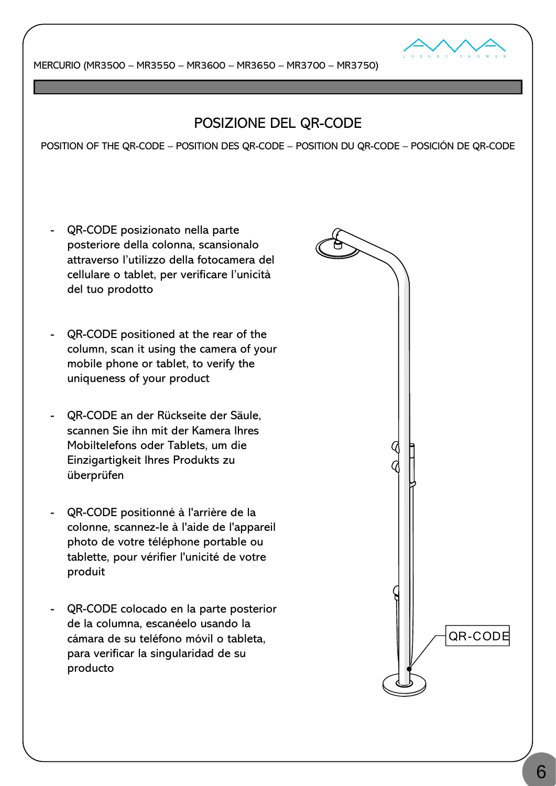

# POSIZIONE DEL QR-CODE

POSITION OF THE QR-CODE – POSITION DES QR-CODE – POSITION DU QR-CODE – POSICIÓN DE QR-CODE

- QR-CODE posizionato nella parte posteriore della colonna, scansionalo attraverso l'utilizzo della fotocamera del cellulare o tablet, per verificare l'unicità del tuo prodotto
- QR-CODE positioned at the rear of the column, scan it using the camera of your mobile phone or tablet, to verify the uniqueness of your product
- QR-CODE an der Rückseite der Säule, scannen Sie ihn mit der Kamera Ihres Mobiltelefons oder Tablets, um die Einzigartigkeit Ihres Produkts zu überprüfen
- QR-CODE positionné à l'arrière de la colonne, scannez-le à l'aide de l'appareil photo de votre téléphone portable ou tablette, pour vérifier l'unicité de votre produit
- QR-CODE colocado en la parte posterior de la columna, escanéelo usando la cámara de su teléfono móvil o tableta, para verificar la singularidad de su producto

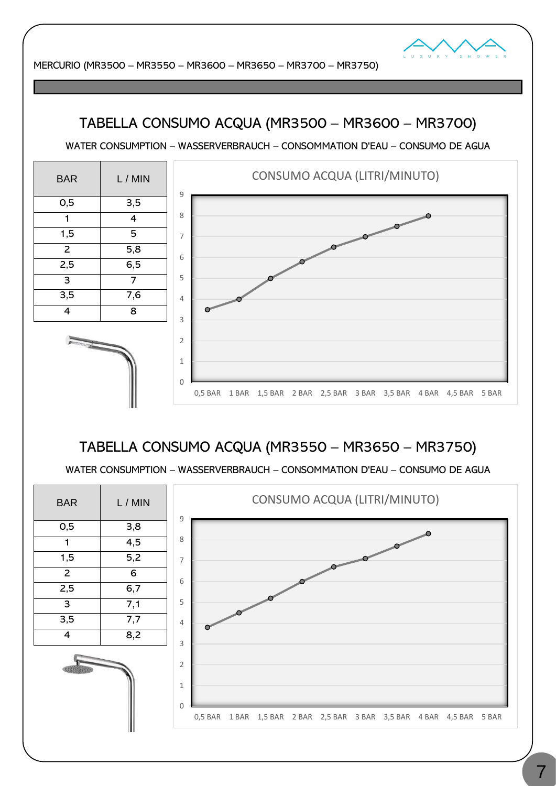

# TABELLA CONSUMO ACQUA (MR3500 – MR3600 – MR3700)

WATER CONSUMPTION – WASSERVERBRAUCH – CONSOMMATION D'EAU – CONSUMO DE AGUA

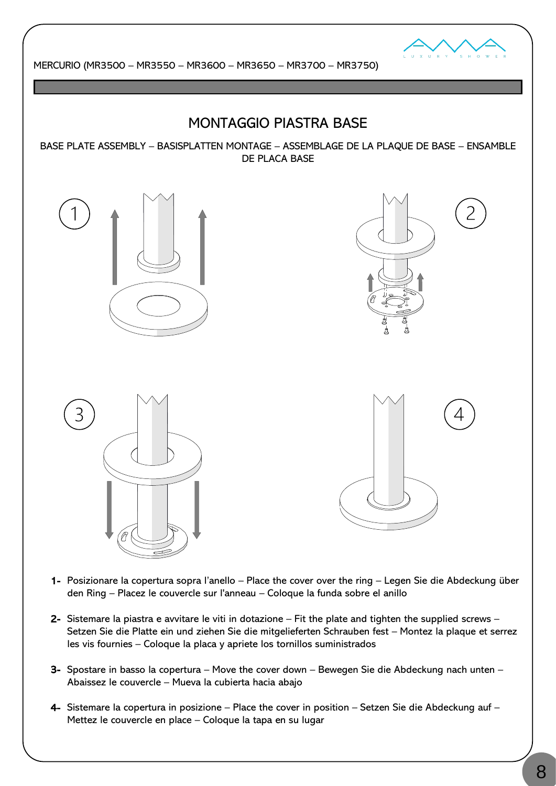

### MONTAGGIO PIASTRA BASE

BASE PLATE ASSEMBLY – BASISPLATTEN MONTAGE – ASSEMBLAGE DE LA PLAQUE DE BASE – ENSAMBLE DE PLACA BASE









- 1- Posizionare la copertura sopra l'anello Place the cover over the ring Legen Sie die Abdeckung über den Ring – Placez le couvercle sur l'anneau – Coloque la funda sobre el anillo
- 2- Sistemare la piastra e avvitare le viti in dotazione Fit the plate and tighten the supplied screws Setzen Sie die Platte ein und ziehen Sie die mitgelieferten Schrauben fest – Montez la plaque et serrez les vis fournies – Coloque la placa y apriete los tornillos suministrados
- 3- Spostare in basso la copertura Move the cover down Bewegen Sie die Abdeckung nach unten Abaissez le couvercle – Mueva la cubierta hacia abajo
- 4- Sistemare la copertura in posizione Place the cover in position Setzen Sie die Abdeckung auf Mettez le couvercle en place – Coloque la tapa en su lugar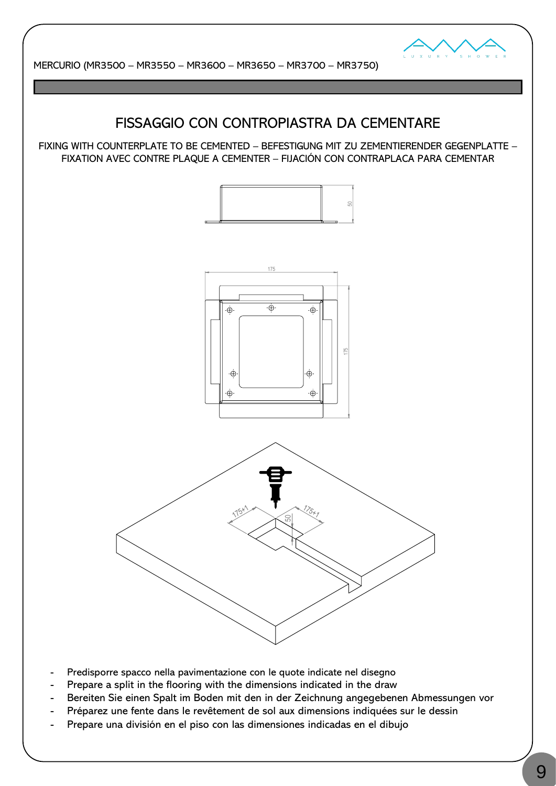

### FISSAGGIO CON CONTROPIASTRA DA CEMENTARE

FIXING WITH COUNTERPLATE TO BE CEMENTED – BEFESTIGUNG MIT ZU ZEMENTIERENDER GEGENPLATTE – FIXATION AVEC CONTRE PLAQUE A CEMENTER – FIJACIÓN CON CONTRAPLACA PARA CEMENTAR







- Predisporre spacco nella pavimentazione con le quote indicate nel disegno
- Prepare a split in the flooring with the dimensions indicated in the draw
- Bereiten Sie einen Spalt im Boden mit den in der Zeichnung angegebenen Abmessungen vor
- Préparez une fente dans le revêtement de sol aux dimensions indiquées sur le dessin
- Prepare una división en el piso con las dimensiones indicadas en el dibujo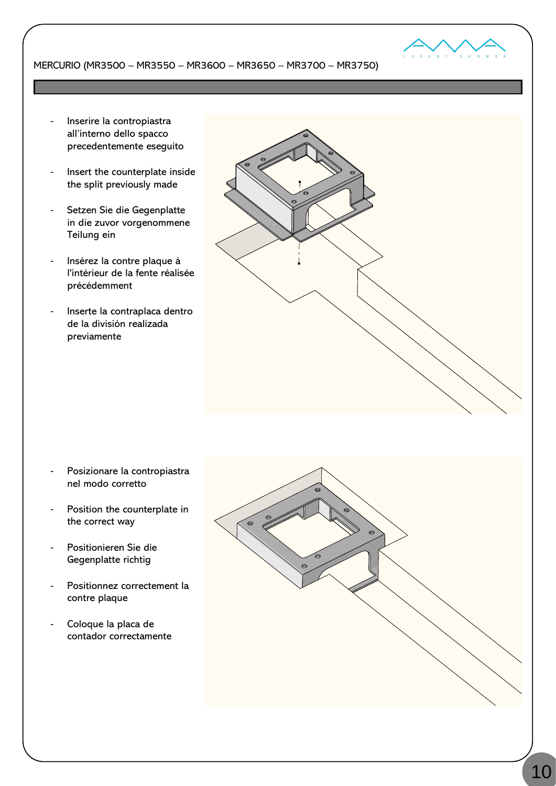

- Inserire la contropiastra all'interno dello spacco precedentemente eseguito
- Insert the counterplate inside the split previously made
- Setzen Sie die Gegenplatte in die zuvor vorgenommene Teilung ein
- Insérez la contre plaque à l'intérieur de la fente réalisée précédemment
- Inserte la contraplaca dentro de la división realizada previamente



- Posizionare la contropiastra nel modo corretto
- Position the counterplate in the correct way
- Positionieren Sie die Gegenplatte richtig
- Positionnez correctement la contre plaque
- Coloque la placa de contador correctamente

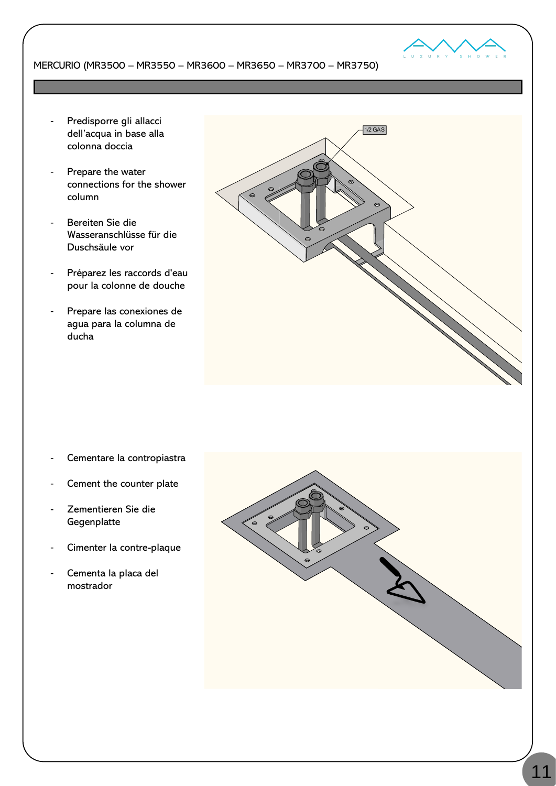

- Predisporre gli allacci dell'acqua in base alla colonna doccia
- Prepare the water connections for the shower column
- Bereiten Sie die Wasseranschlüsse für die Duschsäule vor
- Préparez les raccords d'eau pour la colonne de douche
- Prepare las conexiones de agua para la columna de ducha



- Cementare la contropiastra
- Cement the counter plate
- Zementieren Sie die Gegenplatte
- Cimenter la contre-plaque
- Cementa la placa del mostrador

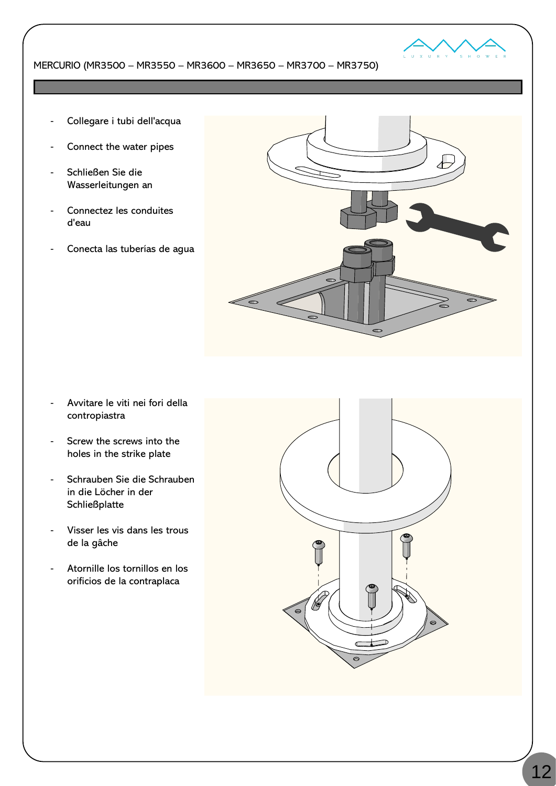

- Collegare i tubi dell'acqua
- Connect the water pipes
- Schließen Sie die Wasserleitungen an
- Connectez les conduites d'eau
- Conecta las tuberías de agua



- Avvitare le viti nei fori della contropiastra
- Screw the screws into the holes in the strike plate
- Schrauben Sie die Schrauben in die Löcher in der **Schließplatte**
- Visser les vis dans les trous de la gâche
- Atornille los tornillos en los orificios de la contraplaca

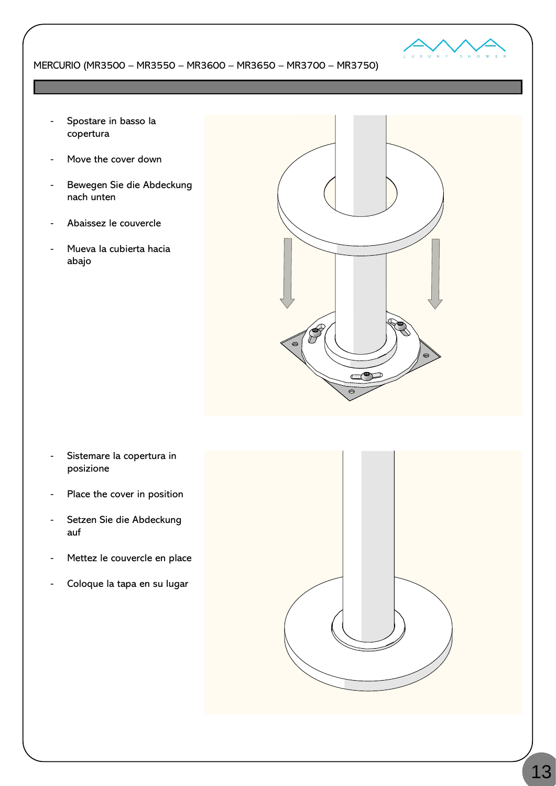

- Spostare in basso la copertura
- Move the cover down
- Bewegen Sie die Abdeckung nach unten
- Abaissez le couvercle
- Mueva la cubierta hacia abajo



- Sistemare la copertura in posizione
- Place the cover in position
- Setzen Sie die Abdeckung auf
- Mettez le couvercle en place
- Coloque la tapa en su lugar

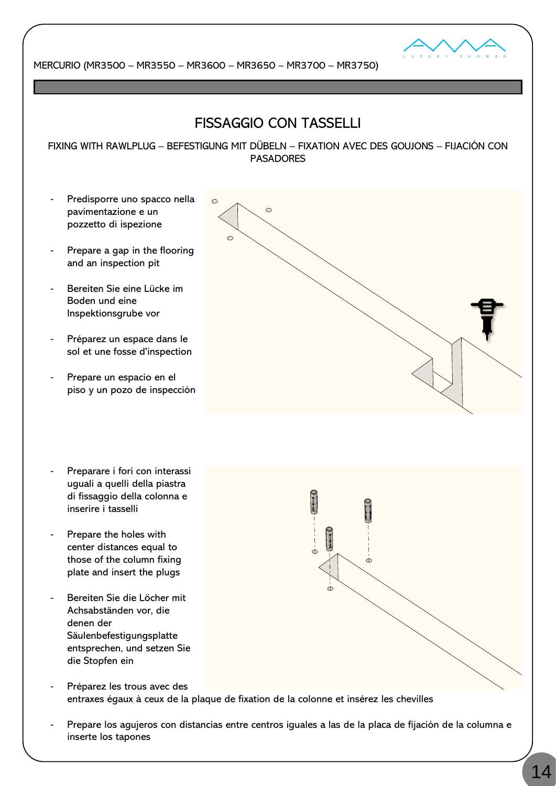

# FISSAGGIO CON TASSELLI

FIXING WITH RAWLPLUG – BEFESTIGUNG MIT DÜBELN – FIXATION AVEC DES GOUJONS – FIJACIÓN CON PASADORES

- Predisporre uno spacco nella pavimentazione e un pozzetto di ispezione
- Prepare a gap in the flooring and an inspection pit
- Bereiten Sie eine Lücke im Boden und eine Inspektionsgrube vor
- Préparez un espace dans le sol et une fosse d'inspection
- Prepare un espacio en el piso y un pozo de inspección
- Preparare i fori con interassi uguali a quelli della piastra di fissaggio della colonna e inserire i tasselli
- Prepare the holes with center distances equal to those of the column fixing plate and insert the plugs
- Bereiten Sie die Löcher mit Achsabständen vor, die denen der Säulenbefestigungsplatte entsprechen, und setzen Sie die Stopfen ein
- Préparez les trous avec des entraxes égaux à ceux de la plaque de fixation de la colonne et insérez les chevilles
- Prepare los agujeros con distancias entre centros iguales a las de la placa de fijación de la columna e inserte los tapones

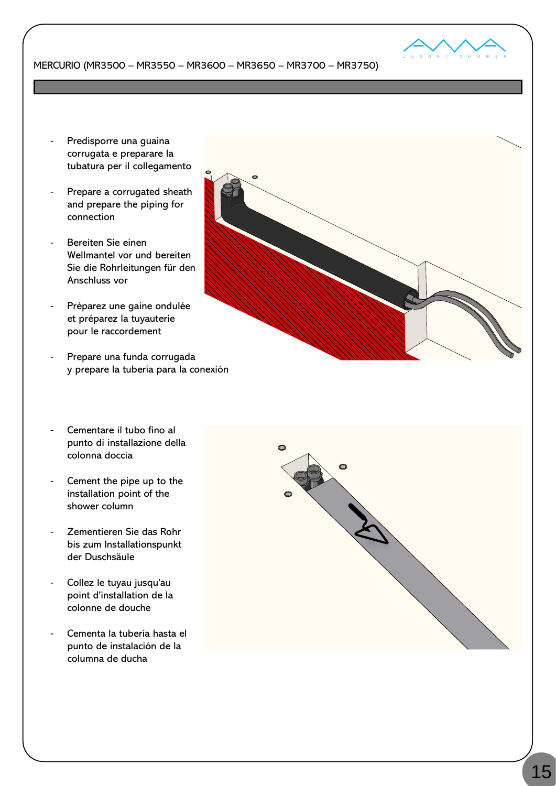

- Predisporre una guaina corrugata e preparare la tubatura per il collegamento
- Prepare a corrugated sheath and prepare the piping for connection
- Bereiten Sie einen Wellmantel vor und bereiten Sie die Rohrleitungen für den Anschluss vor
- Préparez une gaine ondulée et préparez la tuyauterie pour le raccordement
- Prepare una funda corrugada y prepare la tubería para la conexión
- Cementare il tubo fino al punto di installazione della colonna doccia
- Cement the pipe up to the installation point of the shower column
- Zementieren Sie das Rohr bis zum Installationspunkt der Duschsäule
- Collez le tuyau jusqu'au point d'installation de la colonne de douche
- Cementa la tubería hasta el punto de instalación de la columna de ducha



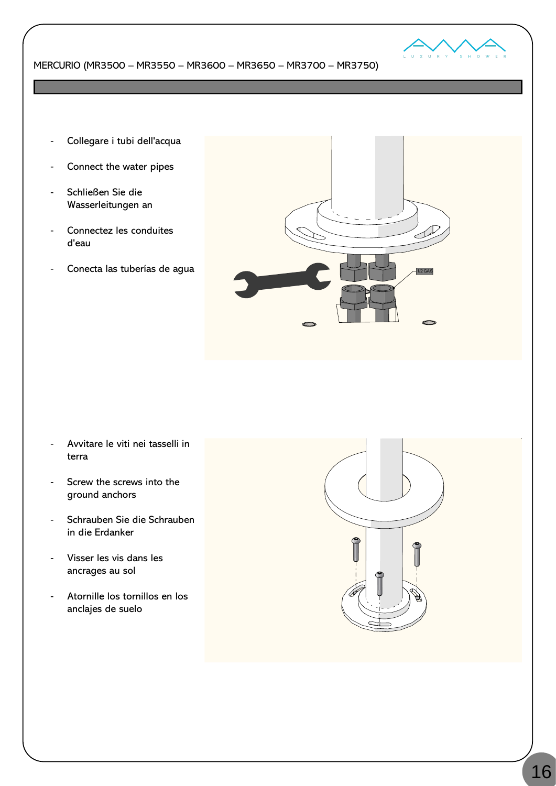

- Collegare i tubi dell'acqua
- Connect the water pipes
- Schließen Sie die Wasserleitungen an
- Connectez les conduites d'eau
- Conecta las tuberías de agua



- Avvitare le viti nei tasselli in terra
- Screw the screws into the ground anchors
- Schrauben Sie die Schrauben in die Erdanker
- Visser les vis dans les ancrages au sol
- Atornille los tornillos en los anclajes de suelo

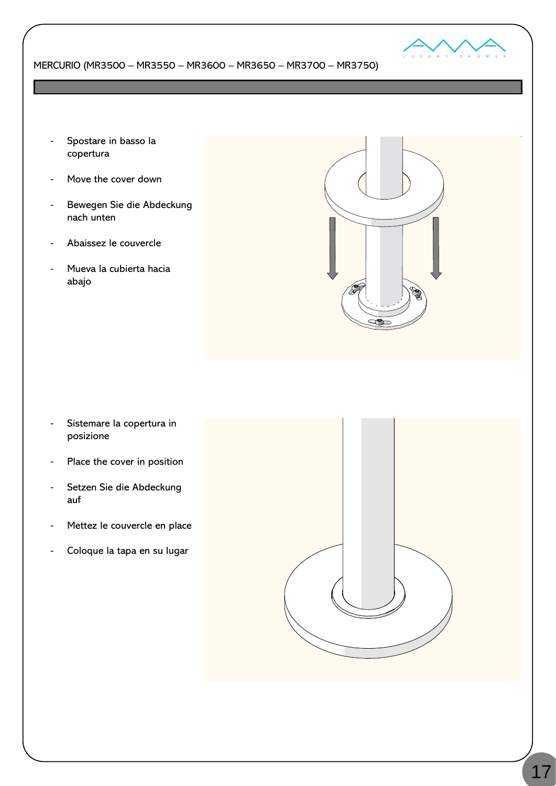

- Spostare in basso la copertura
- Move the cover down
- Bewegen Sie die Abdeckung nach unten
- Abaissez le couvercle
- Mueva la cubierta hacia abajo



- Sistemare la copertura in posizione
- Place the cover in position
- Setzen Sie die Abdeckung auf
- Mettez le couvercle en place
- Coloque la tapa en su lugar

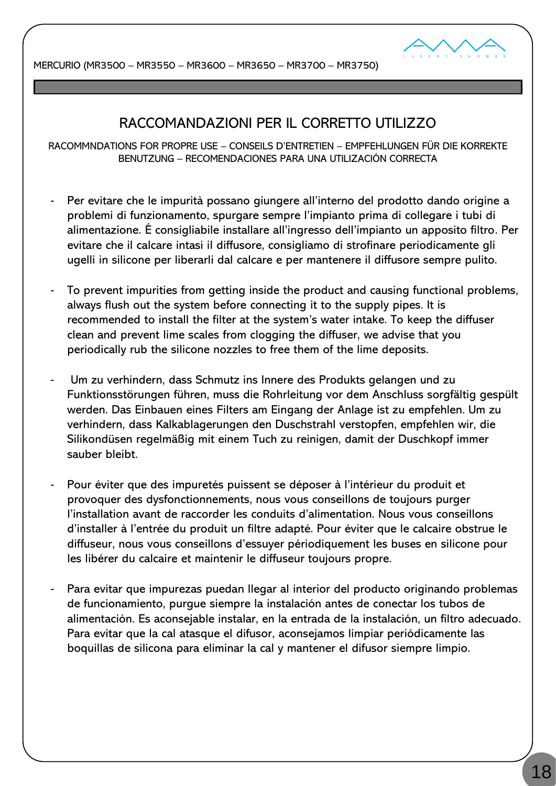

## RACCOMANDAZIONI PER IL CORRETTO UTILIZZO

RACOMMNDATIONS FOR PROPRE USE – CONSEILS D'ENTRETIEN – EMPFEHLUNGEN FÜR DIE KORREKTE BENUTZUNG – RECOMENDACIONES PARA UNA UTILIZACIÓN CORRECTA

- Per evitare che le impurità possano giungere all'interno del prodotto dando origine a problemi di funzionamento, spurgare sempre l'impianto prima di collegare i tubi di alimentazione. É consigliabile installare all'ingresso dell'impianto un apposito filtro. Per evitare che il calcare intasi il diffusore, consigliamo di strofinare periodicamente gli ugelli in silicone per liberarli dal calcare e per mantenere il diffusore sempre pulito.
- To prevent impurities from getting inside the product and causing functional problems, always flush out the system before connecting it to the supply pipes. It is recommended to install the filter at the system's water intake. To keep the diffuser clean and prevent lime scales from clogging the diffuser, we advise that you periodically rub the silicone nozzles to free them of the lime deposits.
- Um zu verhindern, dass Schmutz ins Innere des Produkts gelangen und zu Funktionsstörungen führen, muss die Rohrleitung vor dem Anschluss sorgfältig gespült werden. Das Einbauen eines Filters am Eingang der Anlage ist zu empfehlen. Um zu verhindern, dass Kalkablagerungen den Duschstrahl verstopfen, empfehlen wir, die Silikondüsen regelmäßig mit einem Tuch zu reinigen, damit der Duschkopf immer sauber bleibt.
- Pour éviter que des impuretés puissent se déposer à l'intérieur du produit et provoquer des dysfonctionnements, nous vous conseillons de toujours purger l'installation avant de raccorder les conduits d'alimentation. Nous vous conseillons d'installer à l'entrée du produit un filtre adapté. Pour éviter que le calcaire obstrue le diffuseur, nous vous conseillons d'essuyer périodiquement les buses en silicone pour les libérer du calcaire et maintenir le diffuseur toujours propre.
- Para evitar que impurezas puedan llegar al interior del producto originando problemas de funcionamiento, purgue siempre la instalación antes de conectar los tubos de alimentación. Es aconsejable instalar, en la entrada de la instalación, un filtro adecuado. Para evitar que la cal atasque el difusor, aconsejamos limpiar periódicamente las boquillas de silicona para eliminar la cal y mantener el difusor siempre limpio.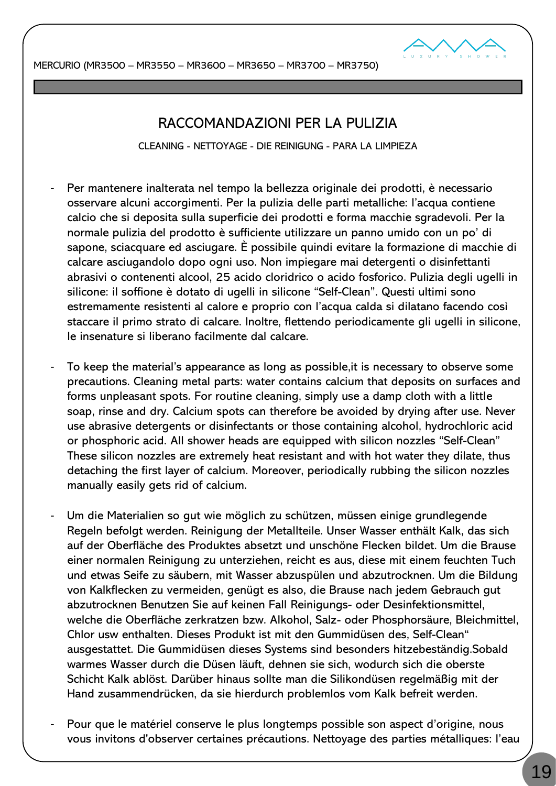



### RACCOMANDAZIONI PER LA PULIZIA

CLEANING - NETTOYAGE - DIE REINIGUNG - PARA LA LIMPIEZA

- Per mantenere inalterata nel tempo la bellezza originale dei prodotti, è necessario osservare alcuni accorgimenti. Per la pulizia delle parti metalliche: l'acqua contiene calcio che si deposita sulla superficie dei prodotti e forma macchie sgradevoli. Per la normale pulizia del prodotto è sufficiente utilizzare un panno umido con un po' di sapone, sciacquare ed asciugare. È possibile quindi evitare la formazione di macchie di calcare asciugandolo dopo ogni uso. Non impiegare mai detergenti o disinfettanti abrasivi o contenenti alcool, 25 acido cloridrico o acido fosforico. Pulizia degli ugelli in silicone: il soffione è dotato di ugelli in silicone "Self-Clean". Questi ultimi sono estremamente resistenti al calore e proprio con l'acqua calda si dilatano facendo così staccare il primo strato di calcare. Inoltre, flettendo periodicamente gli ugelli in silicone, le insenature si liberano facilmente dal calcare.
- To keep the material's appearance as long as possible, it is necessary to observe some precautions. Cleaning metal parts: water contains calcium that deposits on surfaces and forms unpleasant spots. For routine cleaning, simply use a damp cloth with a little soap, rinse and dry. Calcium spots can therefore be avoided by drying after use. Never use abrasive detergents or disinfectants or those containing alcohol, hydrochloric acid or phosphoric acid. All shower heads are equipped with silicon nozzles "Self-Clean" These silicon nozzles are extremely heat resistant and with hot water they dilate, thus detaching the first layer of calcium. Moreover, periodically rubbing the silicon nozzles manually easily gets rid of calcium.
- Um die Materialien so gut wie möglich zu schützen, müssen einige grundlegende Regeln befolgt werden. Reinigung der Metallteile. Unser Wasser enthält Kalk, das sich auf der Oberfläche des Produktes absetzt und unschöne Flecken bildet. Um die Brause einer normalen Reinigung zu unterziehen, reicht es aus, diese mit einem feuchten Tuch und etwas Seife zu säubern, mit Wasser abzuspülen und abzutrocknen. Um die Bildung von Kalkflecken zu vermeiden, genügt es also, die Brause nach jedem Gebrauch gut abzutrocknen Benutzen Sie auf keinen Fall Reinigungs- oder Desinfektionsmittel, welche die Oberfläche zerkratzen bzw. Alkohol, Salz- oder Phosphorsäure, Bleichmittel, Chlor usw enthalten. Dieses Produkt ist mit den Gummidüsen des, Self-Clean" ausgestattet. Die Gummidüsen dieses Systems sind besonders hitzebeständig.Sobald warmes Wasser durch die Düsen läuft, dehnen sie sich, wodurch sich die oberste Schicht Kalk ablöst. Darüber hinaus sollte man die Silikondüsen regelmäßig mit der Hand zusammendrücken, da sie hierdurch problemlos vom Kalk befreit werden.
- Pour que le matériel conserve le plus longtemps possible son aspect d'origine, nous vous invitons d'observer certaines précautions. Nettoyage des parties métalliques: l'eau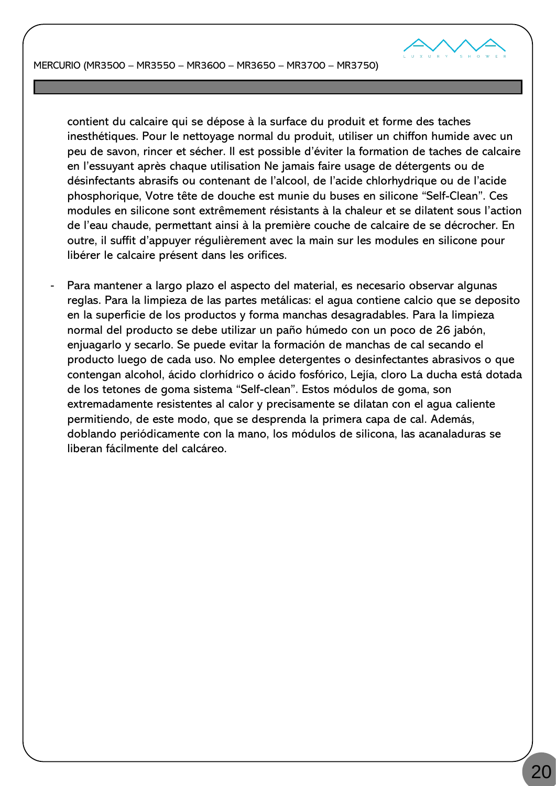

contient du calcaire qui se dépose à la surface du produit et forme des taches inesthétiques. Pour le nettoyage normal du produit, utiliser un chiffon humide avec un peu de savon, rincer et sécher. Il est possible d'éviter la formation de taches de calcaire en l'essuyant après chaque utilisation Ne jamais faire usage de détergents ou de désinfectants abrasifs ou contenant de l'alcool, de l'acide chlorhydrique ou de l'acide phosphorique, Votre tête de douche est munie du buses en silicone "Self-Clean". Ces modules en silicone sont extrêmement résistants à la chaleur et se dilatent sous l'action de l'eau chaude, permettant ainsi à la première couche de calcaire de se décrocher. En outre, il suffit d'appuyer régulièrement avec la main sur les modules en silicone pour libérer le calcaire présent dans les orifices.

Para mantener a largo plazo el aspecto del material, es necesario observar algunas reglas. Para la limpieza de las partes metálicas: el agua contiene calcio que se deposito en la superficie de los productos y forma manchas desagradables. Para la limpieza normal del producto se debe utilizar un paño húmedo con un poco de 26 jabón, enjuagarlo y secarlo. Se puede evitar la formación de manchas de cal secando el producto luego de cada uso. No emplee detergentes o desinfectantes abrasivos o que contengan alcohol, ácido clorhídrico o ácido fosfórico, Lejía, cloro La ducha está dotada de los tetones de goma sistema "Self-clean". Estos módulos de goma, son extremadamente resistentes al calor y precisamente se dilatan con el agua caliente permitiendo, de este modo, que se desprenda la primera capa de cal. Además, doblando periódicamente con la mano, los módulos de silicona, las acanaladuras se liberan fácilmente del calcáreo.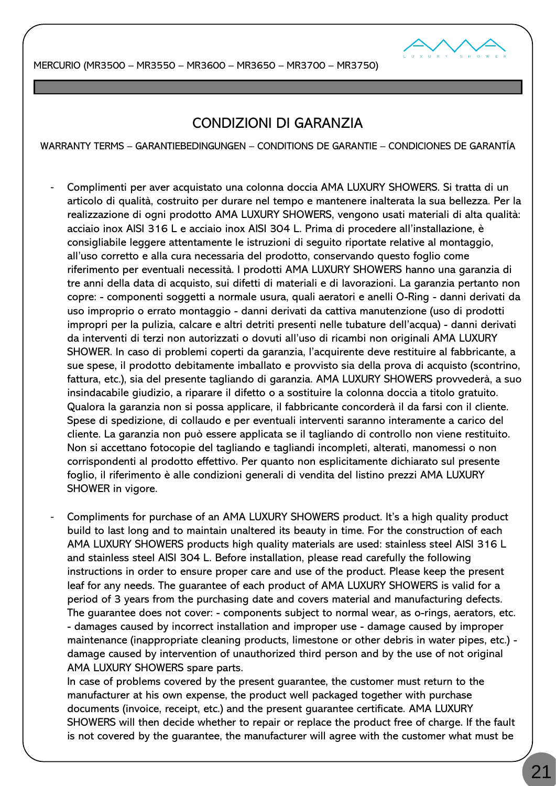

### CONDIZIONI DI GARANZIA

WARRANTY TERMS – GARANTIEBEDINGUNGEN – CONDITIONS DE GARANTIE – CONDICIONES DE GARANTÍA

- Complimenti per aver acquistato una colonna doccia AMA LUXURY SHOWERS. Si tratta di un articolo di qualità, costruito per durare nel tempo e mantenere inalterata la sua bellezza. Per la realizzazione di ogni prodotto AMA LUXURY SHOWERS, vengono usati materiali di alta qualità: acciaio inox AISI 316 L e acciaio inox AISI 304 L. Prima di procedere all'installazione, è consigliabile leggere attentamente le istruzioni di seguito riportate relative al montaggio, all'uso corretto e alla cura necessaria del prodotto, conservando questo foglio come riferimento per eventuali necessità. I prodotti AMA LUXURY SHOWERS hanno una garanzia di tre anni della data di acquisto, sui difetti di materiali e di lavorazioni. La garanzia pertanto non copre: - componenti soggetti a normale usura, quali aeratori e anelli O-Ring - danni derivati da uso improprio o errato montaggio - danni derivati da cattiva manutenzione (uso di prodotti impropri per la pulizia, calcare e altri detriti presenti nelle tubature dell'acqua) - danni derivati da interventi di terzi non autorizzati o dovuti all'uso di ricambi non originali AMA LUXURY SHOWER. In caso di problemi coperti da garanzia, l'acquirente deve restituire al fabbricante, a sue spese, il prodotto debitamente imballato e provvisto sia della prova di acquisto (scontrino, fattura, etc.), sia del presente tagliando di garanzia. AMA LUXURY SHOWERS provvederà, a suo insindacabile giudizio, a riparare il difetto o a sostituire la colonna doccia a titolo gratuito. Qualora la garanzia non si possa applicare, il fabbricante concorderà il da farsi con il cliente. Spese di spedizione, di collaudo e per eventuali interventi saranno interamente a carico del cliente. La garanzia non può essere applicata se il tagliando di controllo non viene restituito. Non si accettano fotocopie del tagliando e tagliandi incompleti, alterati, manomessi o non corrispondenti al prodotto effettivo. Per quanto non esplicitamente dichiarato sul presente foglio, il riferimento è alle condizioni generali di vendita del listino prezzi AMA LUXURY SHOWER in vigore.
- Compliments for purchase of an AMA LUXURY SHOWERS product. It's a high quality product build to last long and to maintain unaltered its beauty in time. For the construction of each AMA LUXURY SHOWERS products high quality materials are used: stainless steel AISI 316 L and stainless steel AISI 304 L. Before installation, please read carefully the following instructions in order to ensure proper care and use of the product. Please keep the present leaf for any needs. The guarantee of each product of AMA LUXURY SHOWERS is valid for a period of 3 years from the purchasing date and covers material and manufacturing defects. The guarantee does not cover: - components subject to normal wear, as o-rings, aerators, etc. - damages caused by incorrect installation and improper use - damage caused by improper maintenance (inappropriate cleaning products, limestone or other debris in water pipes, etc.) damage caused by intervention of unauthorized third person and by the use of not original AMA LUXURY SHOWERS spare parts.

In case of problems covered by the present guarantee, the customer must return to the manufacturer at his own expense, the product well packaged together with purchase documents (invoice, receipt, etc.) and the present guarantee certificate. AMA LUXURY SHOWERS will then decide whether to repair or replace the product free of charge. If the fault is not covered by the guarantee, the manufacturer will agree with the customer what must be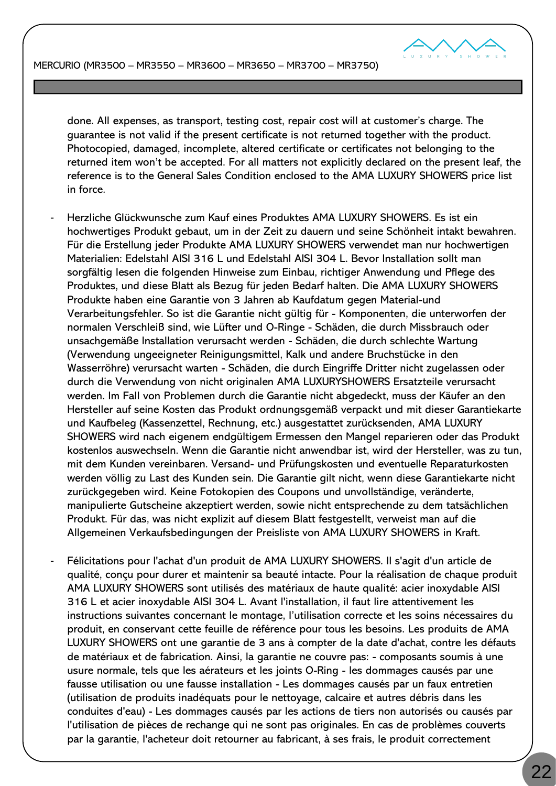

done. All expenses, as transport, testing cost, repair cost will at customer's charge. The guarantee is not valid if the present certificate is not returned together with the product. Photocopied, damaged, incomplete, altered certificate or certificates not belonging to the returned item won't be accepted. For all matters not explicitly declared on the present leaf, the reference is to the General Sales Condition enclosed to the AMA LUXURY SHOWERS price list in force.

- Herzliche Glückwunsche zum Kauf eines Produktes AMA LUXURY SHOWERS. Es ist ein hochwertiges Produkt gebaut, um in der Zeit zu dauern und seine Schönheit intakt bewahren. Für die Erstellung jeder Produkte AMA LUXURY SHOWERS verwendet man nur hochwertigen Materialien: Edelstahl AISI 316 L und Edelstahl AISI 304 L. Bevor Installation sollt man sorgfältig lesen die folgenden Hinweise zum Einbau, richtiger Anwendung und Pflege des Produktes, und diese Blatt als Bezug für jeden Bedarf halten. Die AMA LUXURY SHOWERS Produkte haben eine Garantie von 3 Jahren ab Kaufdatum gegen Material-und Verarbeitungsfehler. So ist die Garantie nicht gültig für - Komponenten, die unterworfen der normalen Verschleiß sind, wie Lüfter und O-Ringe - Schäden, die durch Missbrauch oder unsachgemäße Installation verursacht werden - Schäden, die durch schlechte Wartung (Verwendung ungeeigneter Reinigungsmittel, Kalk und andere Bruchstücke in den Wasserröhre) verursacht warten - Schäden, die durch Eingriffe Dritter nicht zugelassen oder durch die Verwendung von nicht originalen AMA LUXURYSHOWERS Ersatzteile verursacht werden. Im Fall von Problemen durch die Garantie nicht abgedeckt, muss der Käufer an den Hersteller auf seine Kosten das Produkt ordnungsgemäß verpackt und mit dieser Garantiekarte und Kaufbeleg (Kassenzettel, Rechnung, etc.) ausgestattet zurücksenden, AMA LUXURY SHOWERS wird nach eigenem endgültigem Ermessen den Mangel reparieren oder das Produkt kostenlos auswechseln. Wenn die Garantie nicht anwendbar ist, wird der Hersteller, was zu tun, mit dem Kunden vereinbaren. Versand- und Prüfungskosten und eventuelle Reparaturkosten werden völlig zu Last des Kunden sein. Die Garantie gilt nicht, wenn diese Garantiekarte nicht zurückgegeben wird. Keine Fotokopien des Coupons und unvollständige, veränderte, manipulierte Gutscheine akzeptiert werden, sowie nicht entsprechende zu dem tatsächlichen Produkt. Für das, was nicht explizit auf diesem Blatt festgestellt, verweist man auf die Allgemeinen Verkaufsbedingungen der Preisliste von AMA LUXURY SHOWERS in Kraft.
- Félicitations pour l'achat d'un produit de AMA LUXURY SHOWERS. Il s'agit d'un article de qualité, conçu pour durer et maintenir sa beauté intacte. Pour la réalisation de chaque produit AMA LUXURY SHOWERS sont utilisés des matériaux de haute qualité: acier inoxydable AISI 316 L et acier inoxydable AISI 304 L. Avant l'installation, il faut lire attentivement les instructions suivantes concernant le montage, l'utilisation correcte et les soins nécessaires du produit, en conservant cette feuille de référence pour tous les besoins. Les produits de AMA LUXURY SHOWERS ont une garantie de 3 ans à compter de la date d'achat, contre les défauts de matériaux et de fabrication. Ainsi, la garantie ne couvre pas: - composants soumis à une usure normale, tels que les aérateurs et les joints O-Ring - les dommages causés par une fausse utilisation ou une fausse installation - Les dommages causés par un faux entretien (utilisation de produits inadéquats pour le nettoyage, calcaire et autres débris dans les conduites d'eau) - Les dommages causés par les actions de tiers non autorisés ou causés par l'utilisation de pièces de rechange qui ne sont pas originales. En cas de problèmes couverts par la garantie, l'acheteur doit retourner au fabricant, à ses frais, le produit correctement